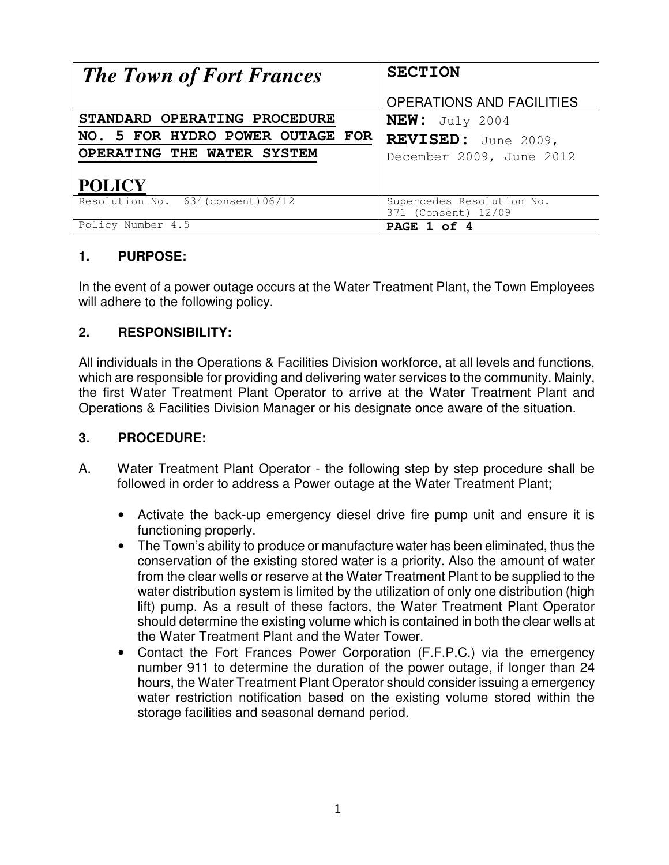| <b>The Town of Fort Frances</b>    | <b>SECTION</b>                                   |
|------------------------------------|--------------------------------------------------|
|                                    | <b>OPERATIONS AND FACILITIES</b>                 |
| STANDARD OPERATING PROCEDURE       | $NEW:$ July 2004                                 |
| NO. 5 FOR HYDRO POWER OUTAGE FOR   | REVISED: June 2009,                              |
| OPERATING THE WATER SYSTEM         | December 2009, June 2012                         |
| <b>POLICY</b>                      |                                                  |
| Resolution No. 634 (consent) 06/12 | Supercedes Resolution No.<br>371 (Consent) 12/09 |
| Policy Number 4.5                  | PAGE 1 of 4                                      |

## **1. PURPOSE:**

In the event of a power outage occurs at the Water Treatment Plant, the Town Employees will adhere to the following policy.

## **2. RESPONSIBILITY:**

All individuals in the Operations & Facilities Division workforce, at all levels and functions, which are responsible for providing and delivering water services to the community. Mainly, the first Water Treatment Plant Operator to arrive at the Water Treatment Plant and Operations & Facilities Division Manager or his designate once aware of the situation.

#### **3. PROCEDURE:**

- A. Water Treatment Plant Operator the following step by step procedure shall be followed in order to address a Power outage at the Water Treatment Plant;
	- Activate the back-up emergency diesel drive fire pump unit and ensure it is functioning properly.
	- The Town's ability to produce or manufacture water has been eliminated, thus the conservation of the existing stored water is a priority. Also the amount of water from the clear wells or reserve at the Water Treatment Plant to be supplied to the water distribution system is limited by the utilization of only one distribution (high lift) pump. As a result of these factors, the Water Treatment Plant Operator should determine the existing volume which is contained in both the clear wells at the Water Treatment Plant and the Water Tower.
	- Contact the Fort Frances Power Corporation (F.F.P.C.) via the emergency number 911 to determine the duration of the power outage, if longer than 24 hours, the Water Treatment Plant Operator should consider issuing a emergency water restriction notification based on the existing volume stored within the storage facilities and seasonal demand period.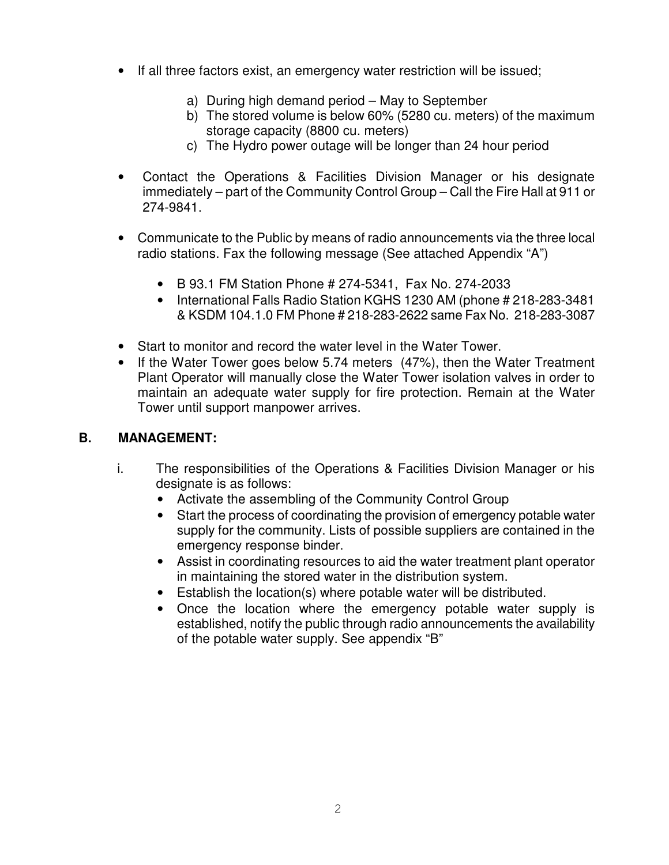- If all three factors exist, an emergency water restriction will be issued;
	- a) During high demand period May to September
	- b) The stored volume is below 60% (5280 cu. meters) of the maximum storage capacity (8800 cu. meters)
	- c) The Hydro power outage will be longer than 24 hour period
- Contact the Operations & Facilities Division Manager or his designate immediately – part of the Community Control Group – Call the Fire Hall at 911 or 274-9841.
- Communicate to the Public by means of radio announcements via the three local radio stations. Fax the following message (See attached Appendix "A")
	- B 93.1 FM Station Phone # 274-5341, Fax No. 274-2033
	- International Falls Radio Station KGHS 1230 AM (phone # 218-283-3481 & KSDM 104.1.0 FM Phone # 218-283-2622 same Fax No. 218-283-3087
- Start to monitor and record the water level in the Water Tower.
- If the Water Tower goes below 5.74 meters (47%), then the Water Treatment Plant Operator will manually close the Water Tower isolation valves in order to maintain an adequate water supply for fire protection. Remain at the Water Tower until support manpower arrives.

# **B. MANAGEMENT:**

- i. The responsibilities of the Operations & Facilities Division Manager or his designate is as follows:
	- Activate the assembling of the Community Control Group
	- Start the process of coordinating the provision of emergency potable water supply for the community. Lists of possible suppliers are contained in the emergency response binder.
	- Assist in coordinating resources to aid the water treatment plant operator in maintaining the stored water in the distribution system.
	- Establish the location(s) where potable water will be distributed.
	- Once the location where the emergency potable water supply is established, notify the public through radio announcements the availability of the potable water supply. See appendix "B"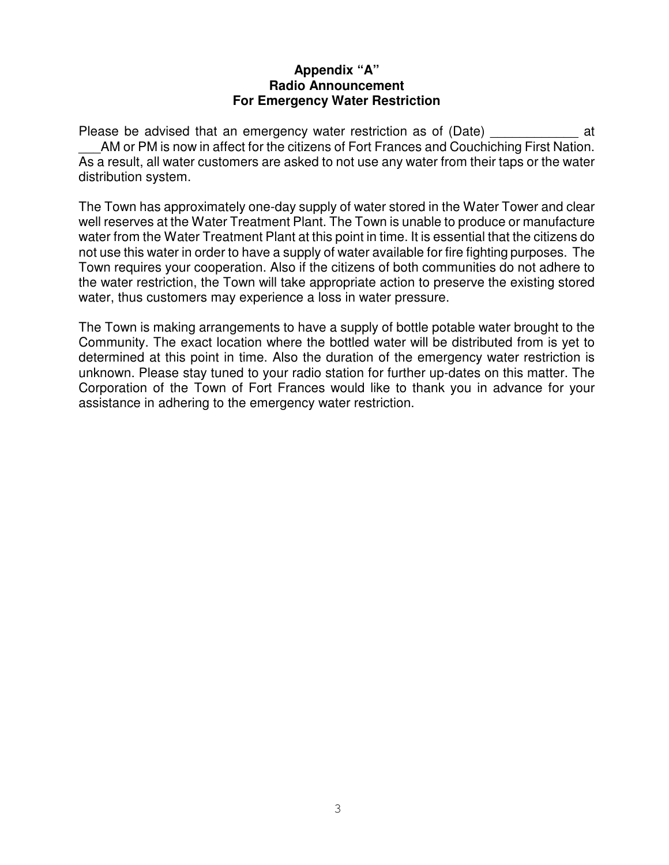#### **Appendix "A" Radio Announcement For Emergency Water Restriction**

Please be advised that an emergency water restriction as of (Date) at AM or PM is now in affect for the citizens of Fort Frances and Couchiching First Nation. As a result, all water customers are asked to not use any water from their taps or the water distribution system.

The Town has approximately one-day supply of water stored in the Water Tower and clear well reserves at the Water Treatment Plant. The Town is unable to produce or manufacture water from the Water Treatment Plant at this point in time. It is essential that the citizens do not use this water in order to have a supply of water available for fire fighting purposes. The Town requires your cooperation. Also if the citizens of both communities do not adhere to the water restriction, the Town will take appropriate action to preserve the existing stored water, thus customers may experience a loss in water pressure.

The Town is making arrangements to have a supply of bottle potable water brought to the Community. The exact location where the bottled water will be distributed from is yet to determined at this point in time. Also the duration of the emergency water restriction is unknown. Please stay tuned to your radio station for further up-dates on this matter. The Corporation of the Town of Fort Frances would like to thank you in advance for your assistance in adhering to the emergency water restriction.